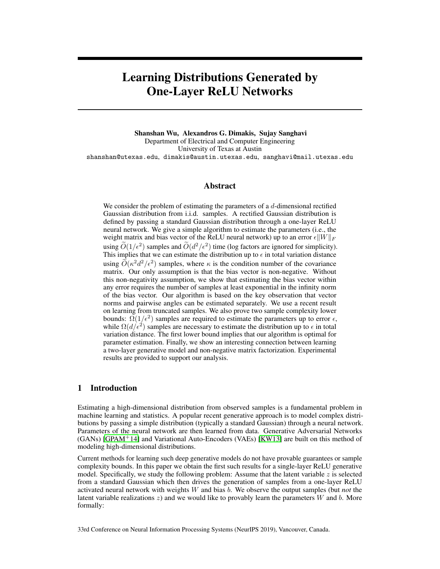# Learning Distributions Generated by One-Layer ReLU Networks

Shanshan Wu, Alexandros G. Dimakis, Sujay Sanghavi Department of Electrical and Computer Engineering University of Texas at Austin shanshan@utexas.edu, dimakis@austin.utexas.edu, sanghavi@mail.utexas.edu

## Abstract

We consider the problem of estimating the parameters of a  $d$ -dimensional rectified Gaussian distribution from i.i.d. samples. A rectified Gaussian distribution is defined by passing a standard Gaussian distribution through a one-layer ReLU neural network. We give a simple algorithm to estimate the parameters (i.e., the weight matrix and bias vector of the ReLU neural network) up to an error  $\epsilon ||W||_F$ using  $\widetilde{O}(1/\epsilon^2)$  samples and  $\widetilde{O}(d^2/\epsilon^2)$  time (log factors are ignored for simplicity). This implies that we can estimate the distribution up to  $\epsilon$  in total variation distance using  $\tilde{O}(\kappa^2 d^2/\epsilon^2)$  samples, where  $\kappa$  is the condition number of the covariance matrix. Our only assumption is that the bias vector is non-negative. Without this non-negativity assumption, we show that estimating the bias vector within any error requires the number of samples at least exponential in the infinity norm of the bias vector. Our algorithm is based on the key observation that vector norms and pairwise angles can be estimated separately. We use a recent result on learning from truncated samples. We also prove two sample complexity lower bounds:  $\Omega(1/\epsilon^2)$  samples are required to estimate the parameters up to error  $\epsilon$ , while  $\Omega(d/\epsilon^2)$  samples are necessary to estimate the distribution up to  $\epsilon$  in total variation distance. The first lower bound implies that our algorithm is optimal for parameter estimation. Finally, we show an interesting connection between learning a two-layer generative model and non-negative matrix factorization. Experimental results are provided to support our analysis.

# 1 Introduction

Estimating a high-dimensional distribution from observed samples is a fundamental problem in machine learning and statistics. A popular recent generative approach is to model complex distributions by passing a simple distribution (typically a standard Gaussian) through a neural network. Parameters of the neural network are then learned from data. Generative Adversarial Networks (GANs) [GPAM<sup>+</sup>14] and Variational Auto-Encoders (VAEs) [KW13] are built on this method of modeling high-dimensional distributions.

Current methods for learning such deep generative models do not have provable guarantees or sample complexity bounds. In this paper we obtain the first such results for a single-layer ReLU generative model. Specifically, we study the following problem: Assume that the latent variable  $z$  is selected from a standard Gaussian which then drives the generation of samples from a one-layer ReLU activated neural network with weights W and bias b. We observe the output samples (but *not* the latent variable realizations  $z$ ) and we would like to provably learn the parameters  $W$  and  $b$ . More formally:

33rd Conference on Neural Information Processing Systems (NeurIPS 2019), Vancouver, Canada.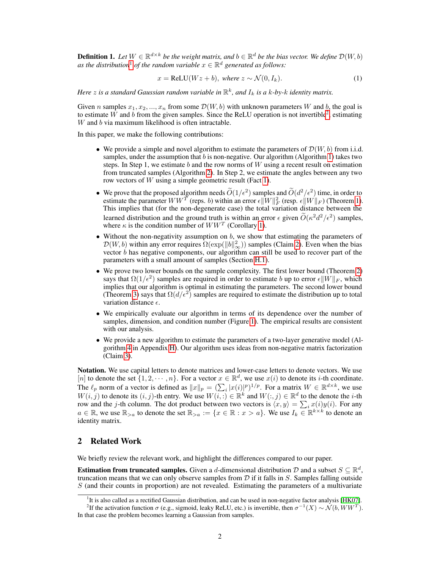**Definition 1.** Let  $W \in \mathbb{R}^{d \times k}$  be the weight matrix, and  $b \in \mathbb{R}^d$  be the bias vector. We define  $\mathcal{D}(W, b)$ as the distribution<sup>1</sup> of the random variable  $x \in \mathbb{R}^d$  generated as follows:

$$
x = \text{ReLU}(Wz + b), \text{ where } z \sim \mathcal{N}(0, I_k). \tag{1}
$$

Here  $z$  is a standard Gaussian random variable in  $\mathbb{R}^k$ , and  $I_k$  is a  $k$ -by- $k$  identity matrix.

Given n samples  $x_1, x_2, ..., x_n$  from some  $\mathcal{D}(W, b)$  with unknown parameters W and b, the goal is to estimate  $\tilde{W}$  and b from the given samples. Since the ReLU operation is not invertible<sup>2</sup>, estimating  $W$  and  $b$  via maximum likelihood is often intractable.

In this paper, we make the following contributions:

- We provide a simple and novel algorithm to estimate the parameters of  $\mathcal{D}(W, b)$  from i.i.d. samples, under the assumption that  $b$  is non-negative. Our algorithm (Algorithm 1) takes two steps. In Step 1, we estimate b and the row norms of  $W$  using a recent result on estimation from truncated samples (Algorithm 2). In Step 2, we estimate the angles between any two row vectors of W using a simple geometric result (Fact 1).
- We prove that the proposed algorithm needs  $\widetilde{O}(1/\epsilon^2)$  samples and  $\widetilde{O}(d^2/\epsilon^2)$  time, in order to estimate the parameter  $WW^T$  (reps. b) within an error  $\epsilon \|W\|_F^2$  (resp.  $\epsilon \|W\|_F$ ) (Theorem 1). This implies that (for the non-degenerate case) the total variation distance between the learned distribution and the ground truth is within an error  $\epsilon$  given  $\widetilde{O}(\kappa^2 d^2/\epsilon^2)$  samples, where  $\kappa$  is the condition number of  $WW^T$  (Corollary 1).
- Without the non-negativity assumption on  $b$ , we show that estimating the parameters of  $\mathcal{D}(W, b)$  within any error requires  $\Omega(\exp(\|\boldsymbol{b}\|_{\infty}^2))$  samples (Claim 2). Even when the bias vector  $b$  has negative components, our algorithm can still be used to recover part of the parameters with a small amount of samples (Section H.1).
- We prove two lower bounds on the sample complexity. The first lower bound (Theorem 2) says that  $\Omega(1/\epsilon^2)$  samples are required in order to estimate b up to error  $\epsilon \|W\|_F$ , which implies that our algorithm is optimal in estimating the parameters. The second lower bound (Theorem 3) says that  $\Omega(d/\epsilon^2)$  samples are required to estimate the distribution up to total variation distance  $\epsilon$ .
- We empirically evaluate our algorithm in terms of its dependence over the number of samples, dimension, and condition number (Figure 1). The empirical results are consistent with our analysis.
- We provide a new algorithm to estimate the parameters of a two-layer generative model (Algorithm 4 in Appendix H). Our algorithm uses ideas from non-negative matrix factorization (Claim 3).

Notation. We use capital letters to denote matrices and lower-case letters to denote vectors. We use [n] to denote the set  $\{1, 2, \dots, n\}$ . For a vector  $x \in \mathbb{R}^d$ , we use  $x(i)$  to denote its *i*-th coordinate. The  $\ell_p$  norm of a vector is defined as  $||x||_p = (\sum_i |x(i)|^p)^{1/p}$ . For a matrix  $W \in \mathbb{R}^{d \times k}$ , we use  $W(i, j)$  to denote its  $(i, j)$ -th entry. We use  $W(i, j) \in \mathbb{R}^k$  and  $W(:, j) \in \mathbb{R}^d$  to the denote the *i*-th row and the *j*-th column. The dot product between two vectors is  $\langle x, y \rangle = \sum_i x(i)y(i)$ . For any  $a \in \mathbb{R}$ , we use  $\mathbb{R}_{>a}$  to denote the set  $\mathbb{R}_{>a} := \{x \in \mathbb{R} : x > a\}$ . We use  $I_k \in \mathbb{R}^{k \times k}$  to denote an identity matrix.

## 2 Related Work

We briefly review the relevant work, and highlight the differences compared to our paper.

**Estimation from truncated samples.** Given a d-dimensional distribution D and a subset  $S \subseteq \mathbb{R}^d$ , truncation means that we can only observe samples from  $D$  if it falls in S. Samples falling outside  $S$  (and their counts in proportion) are not revealed. Estimating the parameters of a multivariate

<sup>&</sup>lt;sup>1</sup>It is also called as a rectified Gaussian distribution, and can be used in non-negative factor analysis [HK07].

<sup>&</sup>lt;sup>2</sup>If the activation function  $\sigma$  (e.g., sigmoid, leaky ReLU, etc.) is invertible, then  $\sigma^{-1}(X) \sim \mathcal{N}(b, WW^T)$ . In that case the problem becomes learning a Gaussian from samples.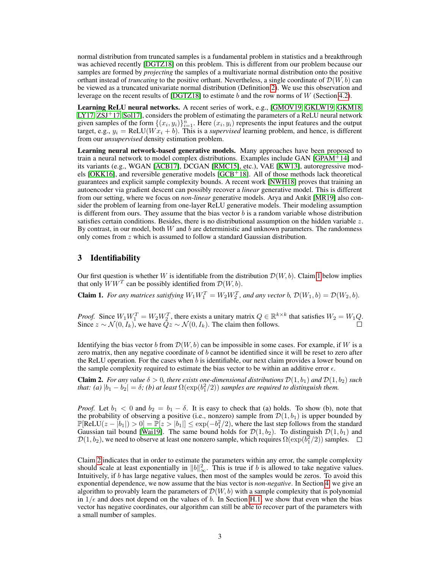normal distribution from truncated samples is a fundamental problem in statistics and a breakthrough was achieved recently [DGTZ18] on this problem. This is different from our problem because our samples are formed by *projecting* the samples of a multivariate normal distribution onto the positive orthant instead of *truncating* to the positive orthant. Nevertheless, a single coordinate of  $\mathcal{D}(W, b)$  can be viewed as a truncated univariate normal distribution (Definition 2). We use this observation and leverage on the recent results of [DGTZ18] to estimate b and the row norms of  $W$  (Section 4.2).

Learning ReLU neural networks. A recent series of work, e.g., [GMOV19, GKLW19, GKM18,  $LY17, ZSI<sup>+</sup>17, Sol17$ , considers the problem of estimating the parameters of a ReLU neural network given samples of the form  $\{(x_i, y_i)\}_{i=1}^n$ . Here  $(x_i, y_i)$  represents the input features and the output target, e.g.,  $y_i = \text{ReLU}(Wx_i + b)$ . This is a *supervised* learning problem, and hence, is different from our *unsupervised* density estimation problem.

Learning neural network-based generative models. Many approaches have been proposed to train a neural network to model complex distributions. Examples include GAN [GPAM<sup>+</sup>14] and its variants (e.g., WGAN [ACB17], DCGAN [RMC15], etc.), VAE [KW13], autoregressive models [OKK16], and reversible generative models [GCB<sup>+</sup>18]. All of those methods lack theoretical guarantees and explicit sample complexity bounds. A recent work [NWH18] proves that training an autoencoder via gradient descent can possibly recover a *linear* generative model. This is different from our setting, where we focus on *non-linear* generative models. Arya and Ankit [MR19] also consider the problem of learning from one-layer ReLU generative models. Their modeling assumption is different from ours. They assume that the bias vector  $b$  is a random variable whose distribution satisfies certain conditions. Besides, there is no distributional assumption on the hidden variable  $z$ . By contrast, in our model, both  $W$  and  $b$  are deterministic and unknown parameters. The randomness only comes from z which is assumed to follow a standard Gaussian distribution.

## 3 Identifiability

Our first question is whether W is identifiable from the distribution  $\mathcal{D}(W, b)$ . Claim 1 below implies that only  $\hat{W}W^T$  can be possibly identified from  $\mathcal{D}(W, b)$ .

**Claim 1.** For any matrices satisfying  $W_1 W_1^T = W_2 W_2^T$ , and any vector b,  $\mathcal{D}(W_1, b) = \mathcal{D}(W_2, b)$ .

*Proof.* Since  $W_1 W_1^T = W_2 W_2^T$ , there exists a unitary matrix  $Q \in \mathbb{R}^{k \times k}$  that satisfies  $W_2 = W_1 Q$ . Since  $z \sim \mathcal{N}(0, I_k)$ , we have  $Qz \sim \mathcal{N}(0, I_k)$ . The claim then follows.

Identifying the bias vector b from  $\mathcal{D}(W, b)$  can be impossible in some cases. For example, if W is a zero matrix, then any negative coordinate of  $b$  cannot be identified since it will be reset to zero after the ReLU operation. For the cases when  $b$  is identifiable, our next claim provides a lower bound on the sample complexity required to estimate the bias vector to be within an additive error  $\epsilon$ .

**Claim 2.** *For any value*  $\delta > 0$ *, there exists one-dimensional distributions*  $\mathcal{D}(1, b_1)$  *and*  $\mathcal{D}(1, b_2)$  *such that: (a)*  $|b_1 - b_2| = \delta$ ; (b) at least  $\Omega(\exp(b_1^2/2))$  samples are required to distinguish them.

*Proof.* Let  $b_1 < 0$  and  $b_2 = b_1 - \delta$ . It is easy to check that (a) holds. To show (b), note that the probability of observing a positive (i.e., nonzero) sample from  $\mathcal{D}(1, b_1)$  is upper bounded by  $\mathbb{P}[\text{ReLU}(z - |b_1|) > 0] = \mathbb{P}[z > |b_1|] \leq \exp(-b_1^2/2)$ , where the last step follows from the standard Gaussian tail bound [Wai19]. The same bound holds for  $\mathcal{D}(1, b_2)$ . To distinguish  $\mathcal{D}(1, b_1)$  and  $\mathcal{D}(1,b_2)$ , we need to observe at least one nonzero sample, which requires  $\Omega(\exp(b_1^2/2))$  samples.

Claim 2 indicates that in order to estimate the parameters within any error, the sample complexity should scale at least exponentially in  $||b||_{\infty}^2$ . This is true if b is allowed to take negative values. Intuitively, if b has large negative values, then most of the samples would be zeros. To avoid this exponential dependence, we now assume that the bias vector is *non-negative*. In Section 4, we give an algorithm to provably learn the parameters of  $\mathcal{D}(W, b)$  with a sample complexity that is polynomial in  $1/\epsilon$  and does not depend on the values of b. In Section H.1, we show that even when the bias vector has negative coordinates, our algorithm can still be able to recover part of the parameters with a small number of samples.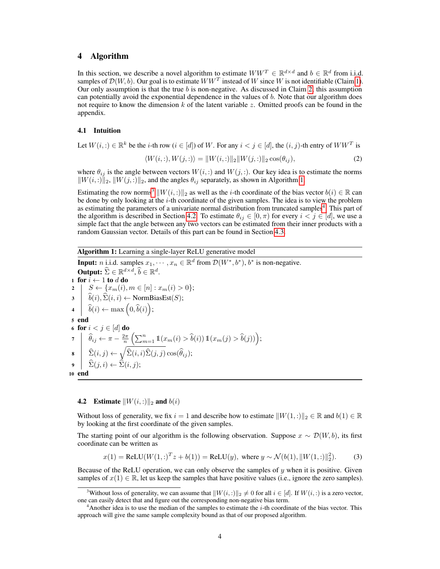# 4 Algorithm

In this section, we describe a novel algorithm to estimate  $WW^T \in \mathbb{R}^{d \times d}$  and  $b \in \mathbb{R}^d$  from i.i.d. samples of  $\mathcal{D}(W, b)$ . Our goal is to estimate  $WW^T$  instead of W since W is not identifiable (Claim 1). Our only assumption is that the true  $b$  is non-negative. As discussed in Claim 2, this assumption can potentially avoid the exponential dependence in the values of  $b$ . Note that our algorithm does not require to know the dimension  $k$  of the latent variable  $z$ . Omitted proofs can be found in the appendix.

### 4.1 Intuition

Let  $W(i, :) \in \mathbb{R}^k$  be the *i*-th row  $(i \in [d])$  of W. For any  $i < j \in [d]$ , the  $(i, j)$ -th entry of  $WW^T$  is

$$
\langle W(i,:), W(j,:) \rangle = ||W(i,:)||_2 ||W(j,:)||_2 \cos(\theta_{ij}), \tag{2}
$$

where  $\theta_{ij}$  is the angle between vectors  $W(i,:)$  and  $W(j,:)$ . Our key idea is to estimate the norms  $\|W(i, :)\|_2, \|W(j, :)\|_2$ , and the angles  $\theta_{ij}$  separately, as shown in Algorithm 1.

Estimating the row norms<sup>3</sup>  $\|W(i,:)\|_2$  as well as the *i*-th coordinate of the bias vector  $b(i) \in \mathbb{R}$  can be done by only looking at the  $i$ -th coordinate of the given samples. The idea is to view the problem as estimating the parameters of a univariate normal distribution from truncated samples<sup>4</sup>. This part of the algorithm is described in Section 4.2. To estimate  $\theta_{ij} \in [0, \pi)$  for every  $i < j \in [d]$ , we use a simple fact that the angle between any two vectors can be estimated from their inner products with a random Gaussian vector. Details of this part can be found in Section 4.3.

Algorithm 1: Learning a single-layer ReLU generative model

**Input:** *n* i.i.d. samples  $x_1, \dots, x_n \in \mathbb{R}^d$  from  $\mathcal{D}(W^*, b^*)$ ,  $b^*$  is non-negative. **Output:**  $\widehat{\Sigma} \in \mathbb{R}^{d \times d}$ ,  $\widehat{b} \in \mathbb{R}^d$ . 1 for  $i \leftarrow 1$  to d do 2 |  $S \leftarrow \{x_m(i), m \in [n] : x_m(i) > 0\};$  $\hat{b}(i), \hat{\Sigma}(i, i) \leftarrow \text{NormBiasEst}(S);$  $\mathbf{4} \left| \quad \widehat{b}(i) \leftarrow \max\left(0, \widehat{b}(i)\right);$ 5 end 6 for  $i < j \in [d]$  do 7  $\left| \quad \widehat{\theta}_{ij} \leftarrow \pi - \frac{2\pi}{n} \left( \sum_{m=1}^n \mathbb{1}(x_m(i) > \widehat{b}(i)) \mathbb{1}(x_m(j) > \widehat{b}(j)) \right);$  $\mathbf{s} \quad \Big| \quad \widehat{\Sigma}(i,j) \leftarrow \sqrt{\widehat{\Sigma}(i,i)\widehat{\Sigma}(j,j)} \cos(\widehat{\theta}_{ij});$  $\mathfrak{g} \quad \Big| \quad \widehat{\Sigma}(i,i) \leftarrow \widehat{\Sigma}(i,j);$ 10 end

#### **4.2** Estimate  $\|W(i, :)\|_2$  and  $b(i)$

Without loss of generality, we fix  $i = 1$  and describe how to estimate  $||W(1, \cdot)||_2 \in \mathbb{R}$  and  $b(1) \in \mathbb{R}$ by looking at the first coordinate of the given samples.

The starting point of our algorithm is the following observation. Suppose  $x \sim \mathcal{D}(W, b)$ , its first coordinate can be written as

$$
x(1) = \text{ReLU}(W(1,:)^{T}z + b(1)) = \text{ReLU}(y), \text{ where } y \sim \mathcal{N}(b(1), \|W(1,:)\|_{2}^{2}).
$$
 (3)

Because of the ReLU operation, we can only observe the samples of  $y$  when it is positive. Given samples of  $x(1) \in \mathbb{R}$ , let us keep the samples that have positive values (i.e., ignore the zero samples).

<sup>&</sup>lt;sup>3</sup>Without loss of generality, we can assume that  $||W(i, :)||_2 \neq 0$  for all  $i \in [d]$ . If  $W(i, :)$  is a zero vector, one can easily detect that and figure out the corresponding non-negative bias term.

<sup>&</sup>lt;sup>4</sup>Another idea is to use the median of the samples to estimate the *i*-th coordinate of the bias vector. This approach will give the same sample complexity bound as that of our proposed algorithm.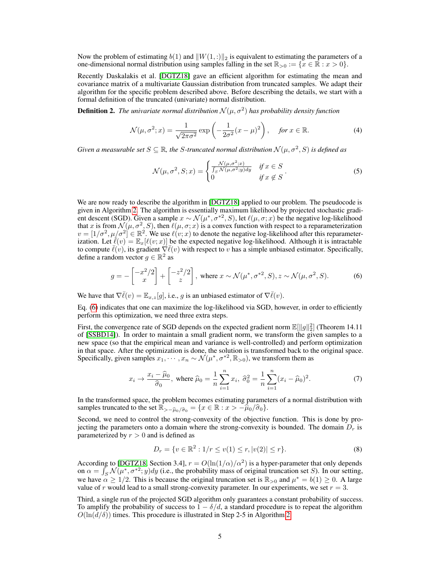Now the problem of estimating  $b(1)$  and  $||W(1, :)||_2$  is equivalent to estimating the parameters of a one-dimensional normal distribution using samples falling in the set  $\mathbb{R}_{>0} := \{x \in \mathbb{R} : x > 0\}.$ 

Recently Daskalakis et al. [DGTZ18] gave an efficient algorithm for estimating the mean and covariance matrix of a multivariate Gaussian distribution from truncated samples. We adapt their algorithm for the specific problem described above. Before describing the details, we start with a formal definition of the truncated (univariate) normal distribution.

**Definition 2.** The univariate normal distribution  $N(\mu, \sigma^2)$  has probability density function

$$
\mathcal{N}(\mu, \sigma^2; x) = \frac{1}{\sqrt{2\pi\sigma^2}} \exp\left(-\frac{1}{2\sigma^2}(x-\mu)^2\right), \quad \text{for } x \in \mathbb{R}.
$$
 (4)

Given a measurable set  $S \subseteq \mathbb{R}$ , the S-truncated normal distribution  $\mathcal{N}(\mu, \sigma^2, S)$  is defined as

$$
\mathcal{N}(\mu, \sigma^2, S; x) = \begin{cases} \frac{\mathcal{N}(\mu, \sigma^2; x)}{\int_S \mathcal{N}(\mu, \sigma^2; y) dy} & \text{if } x \in S \\ 0 & \text{if } x \notin S \end{cases} \tag{5}
$$

We are now ready to describe the algorithm in [DGTZ18] applied to our problem. The pseudocode is given in Algorithm 2. The algorithm is essentially maximum likelihood by projected stochastic gradient descent (SGD). Given a sample  $x \sim \mathcal{N}(\mu^*, \sigma^{*2}, S)$ , let  $\ell(\mu, \sigma; x)$  be the negative log-likelihood that x is from  $\mathcal{N}(\mu, \sigma^2, S)$ , then  $\ell(\mu, \sigma; x)$  is a convex function with respect to a reparameterization  $v = [1/\sigma^2, \mu/\sigma^2] \in \mathbb{R}^2$ . We use  $\ell(v; x)$  to denote the negative log-likelihood after this reparameterization. Let  $\bar{\ell}(v) = \mathbb{E}_x[\ell(v; x)]$  be the expected negative log-likelihood. Although it is intractable to compute  $\bar{\ell}(v)$ , its gradient  $\nabla \bar{\ell}(v)$  with respect to v has a simple unbiased estimator. Specifically, define a random vector  $g \in \mathbb{R}^2$  as

$$
g = -\begin{bmatrix} -x^2/2\\ x \end{bmatrix} + \begin{bmatrix} -z^2/2\\ z \end{bmatrix}, \text{ where } x \sim \mathcal{N}(\mu^*, \sigma^{*2}, S), z \sim \mathcal{N}(\mu, \sigma^2, S). \tag{6}
$$

We have that  $\nabla \overline{\ell}(v) = \mathbb{E}_{x,z}[g]$ , i.e., g is an unbiased estimator of  $\nabla \overline{\ell}(v)$ .

Eq. (6) indicates that one can maximize the log-likelihood via SGD, however, in order to efficiently perform this optimization, we need three extra steps.

First, the convergence rate of SGD depends on the expected gradient norm  $\mathbb{E}[\Vert g \Vert_2^2]$  (Theorem 14.11) of [SSBD14]). In order to maintain a small gradient norm, we transform the given samples to a new space (so that the empirical mean and variance is well-controlled) and perform optimization in that space. After the optimization is done, the solution is transformed back to the original space. Specifically, given samples  $x_1, \dots, x_n \sim \mathcal{N}(\mu^*, \sigma^{*2}, \mathbb{R}_{>0})$ , we transform them as

$$
x_i \to \frac{x_i - \hat{\mu}_0}{\hat{\sigma}_0}
$$
, where  $\hat{\mu}_0 = \frac{1}{n} \sum_{i=1}^n x_i$ ,  $\hat{\sigma}_0^2 = \frac{1}{n} \sum_{i=1}^n (x_i - \hat{\mu}_0)^2$ . (7)

In the transformed space, the problem becomes estimating parameters of a normal distribution with samples truncated to the set  $\mathbb{R}_{>-\widehat{\mu}_0/\widehat{\sigma}_0} = \{x \in \mathbb{R} : x > -\widehat{\mu}_0/\widehat{\sigma}_0\}.$ 

Second, we need to control the strong-convexity of the objective function. This is done by projecting the parameters onto a domain where the strong-convexity is bounded. The domain  $D_r$  is parameterized by  $r > 0$  and is defined as

$$
D_r = \{ v \in \mathbb{R}^2 : 1/r \le v(1) \le r, |v(2)| \le r \}. \tag{8}
$$

According to [DGTZ18, Section 3.4],  $r = O(\ln(1/\alpha)/\alpha^2)$  is a hyper-parameter that only depends on  $\alpha = \int_S \mathcal{N}(\mu^*, \sigma^{*2}; y) dy$  (i.e., the probability mass of original truncation set S). In our setting, we have  $\alpha \ge 1/2$ . This is because the original truncation set is  $\mathbb{R}_{>0}$  and  $\mu^* = b(1) \ge 0$ . A large value of r would lead to a small strong-convexity parameter. In our experiments, we set  $r = 3$ .

Third, a single run of the projected SGD algorithm only guarantees a constant probability of success. To amplify the probability of success to  $1 - \delta/d$ , a standard procedure is to repeat the algorithm  $O(\ln(d/\delta))$  times. This procedure is illustrated in Step 2-5 in Algorithm 2.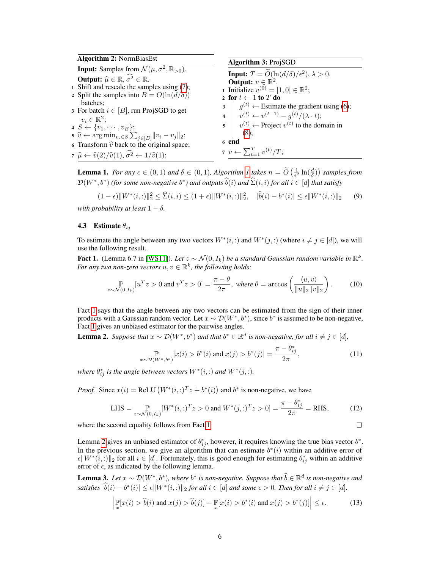| <b>Algorithm 2: NormBiasEst</b>                                                         | <b>Algorithm 3: ProjSGD</b>                                                                                        |
|-----------------------------------------------------------------------------------------|--------------------------------------------------------------------------------------------------------------------|
| <b>Input:</b> Samples from $\mathcal{N}(\mu, \sigma^2, \mathbb{R}_{>0})$ .              |                                                                                                                    |
| <b>Output:</b> $\widehat{\mu} \in \mathbb{R}, \widehat{\sigma^2} \in \mathbb{R}$ .      | <b>Input:</b> $T = \widetilde{O}(\ln(d/\delta)/\epsilon^2), \lambda > 0.$<br><b>Output:</b> $v \in \mathbb{R}^2$ . |
| 1 Shift and rescale the samples using $(7)$ ;                                           | 1 Initialize $v^{(0)} = [1, 0] \in \mathbb{R}^2$ ;                                                                 |
| 2 Split the samples into $B = O(\ln(d/\delta))$<br>batches:                             | 2 for $t \leftarrow 1$ to T do<br>$3 \mid g^{(t)} \leftarrow$ Estimate the gradient using (6);                     |
| 3 For batch $i \in [B]$ , run ProjSGD to get<br>$v_i \in \mathbb{R}^2$ ;                | 4 $v^{(t)} \leftarrow v^{(t-1)} - g^{(t)} / (\lambda \cdot t);$                                                    |
| $\{s \leftarrow \{v_1, \cdots, v_B\};\$                                                 | $\mathbf{s} \mid v^{(t)} \leftarrow \text{Project } v^{(t)}$ to the domain in                                      |
| 5 $\hat{v} \leftarrow \arg \min_{v_i \in S} \sum_{j \in [B]}   v_i - v_j  _2;$          | (8);                                                                                                               |
| 6 Transform $\hat{v}$ back to the original space;                                       | 6 end                                                                                                              |
| 7 $\hat{\mu} \leftarrow \hat{v}(2)/\hat{v}(1), \hat{\sigma}^2 \leftarrow 1/\hat{v}(1);$ | 7 $v \leftarrow \sum_{t=1}^{T} v^{(t)}/T;$                                                                         |
|                                                                                         |                                                                                                                    |

**Lemma 1.** *For any*  $\epsilon \in (0,1)$  *and*  $\delta \in (0,1)$ *, Algorithm 1 takes*  $n = \widetilde{O}\left(\frac{1}{\epsilon^2} \ln\left(\frac{d}{\delta}\right)\right)$  *samples from*  $\mathcal{D}(W^*, b^*)$  (for some non-negative  $b^*$ ) and outputs  $\widehat{b}(i)$  and  $\widehat{\Sigma}(i, i)$  for all  $i \in [d]$  that satisfy

$$
(1 - \epsilon) \|W^*(i, :)\|_2^2 \le \widehat{\Sigma}(i, i) \le (1 + \epsilon) \|W^*(i, :)\|_2^2, \quad |\widehat{b}(i) - b^*(i)| \le \epsilon \|W^*(i, :)\|_2 \tag{9}
$$
  
with probability at least  $1 - \delta$ .

#### **4.3** Estimate  $\theta_{ij}$

To estimate the angle between any two vectors  $W^*(i,:)$  and  $W^*(j,:)$  (where  $i \neq j \in [d]$ ), we will use the following result.

**Fact 1.** (Lemma 6.7 in [WS11]). Let  $z \sim \mathcal{N}(0, I_k)$  be a standard Gaussian random variable in  $\mathbb{R}^k$ . *For any two non-zero vectors*  $u, v \in \mathbb{R}^k$ , the following holds:

$$
\mathbb{P}\limits_{z \sim \mathcal{N}(0, I_k)} [u^T z > 0 \text{ and } v^T z > 0] = \frac{\pi - \theta}{2\pi}, \text{ where } \theta = \arccos\left(\frac{\langle u, v \rangle}{\|u\|_2 \|v\|_2}\right). \tag{10}
$$

Fact 1 says that the angle between any two vectors can be estimated from the sign of their inner products with a Gaussian random vector. Let  $x \sim \mathcal{D}(W^*, b^*)$ , since  $b^*$  is assumed to be non-negative, Fact 1 gives an unbiased estimator for the pairwise angles.

**Lemma 2.** Suppose that  $x \sim \mathcal{D}(W^*, b^*)$  and that  $b^* \in \mathbb{R}^d$  is non-negative, for all  $i \neq j \in [d]$ ,

$$
\mathbb{P}_{x \sim \mathcal{D}(W^*,b^*)}[x(i) > b^*(i) \text{ and } x(j) > b^*(j)] = \frac{\pi - \theta_{ij}^*}{2\pi},\tag{11}
$$

 $\Box$ 

*where*  $\theta_{ij}^*$  *is the angle between vectors*  $W^*(i,:)$  *and*  $W^*(j,:)$ *.* 

*Proof.* Since  $x(i) = \text{ReLU}(W^*(i,:)^T z + b^*(i))$  and  $b^*$  is non-negative, we have

LHS = 
$$
\underset{z \sim \mathcal{N}(0, I_k)}{\mathbb{P}} [W^*(i, :)^T z > 0 \text{ and } W^*(j, :)^T z > 0] = \frac{\pi - \theta_{ij}^*}{2\pi} = \text{RHS},
$$
 (12)

where the second equality follows from Fact 1.

Lemma 2 gives an unbiased estimator of  $\theta_{ij}^*$ , however, it requires knowing the true bias vector  $b^*$ . In the previous section, we give an algorithm that can estimate  $b^*(i)$  within an additive error of  $\epsilon \|W^*(i,:)\|_2$  for all  $i \in [d]$ . Fortunately, this is good enough for estimating  $\theta^*_{ij}$  within an additive error of  $\epsilon$ , as indicated by the following lemma.

**Lemma 3.** *Let*  $x \sim \mathcal{D}(W^*, b^*)$ , where  $b^*$  is non-negative. Suppose that  $\hat{b} \in \mathbb{R}^d$  is non-negative and *satisfies*  $|\hat{b}(i) - b^*(i)| \le \epsilon \|W^*(i, :)\|_2$  *for all*  $i \in [d]$  *and some*  $\epsilon > 0$ *. Then for all*  $i \ne j \in [d]$ *,* 

$$
\left| \mathbb{P}[x(i) > \widehat{b}(i) \text{ and } x(j) > \widehat{b}(j)] - \mathbb{P}[x(i) > b^*(i) \text{ and } x(j) > b^*(j)] \right| \le \epsilon. \tag{13}
$$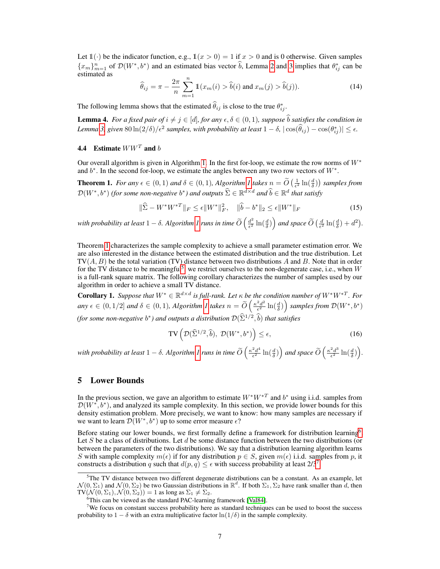Let  $\mathbb{1}(\cdot)$  be the indicator function, e.g.,  $\mathbb{1}(x > 0) = 1$  if  $x > 0$  and is 0 otherwise. Given samples  ${x_m}_{m=1}^n$  of  $\mathcal{D}(W^*, b^*)$  and an estimated bias vector  $\hat{b}$ , Lemma 2 and 3 implies that  $\theta_{ij}^*$  can be estimated as

$$
\widehat{\theta}_{ij} = \pi - \frac{2\pi}{n} \sum_{m=1}^{n} \mathbb{1}(x_m(i) > \widehat{b}(i) \text{ and } x_m(j) > \widehat{b}(j)).
$$
\n(14)

The following lemma shows that the estimated  $\hat{\theta}_{ij}$  is close to the true  $\theta^*_{ij}$ .

**Lemma 4.** *For a fixed pair of*  $i \neq j \in [d]$ *, for any*  $\epsilon, \delta \in (0, 1)$ *, suppose*  $\hat{b}$  *satisfies the condition in Lemma* 3, given  $80 \ln(2/\delta)/\epsilon^2$  samples, with probability at least  $1 - \delta$ ,  $|\cos(\hat{\theta}_{ij}) - \cos(\theta_{ij}^*)| \le \epsilon$ .

# 4.4 Estimate  $WW^T$  and b

Our overall algorithm is given in Algorithm 1. In the first for-loop, we estimate the row norms of  $W^*$ and  $b^*$ . In the second for-loop, we estimate the angles between any two row vectors of  $W^*$ .

**Theorem 1.** *For any*  $\epsilon \in (0,1)$  *and*  $\delta \in (0,1)$ *, Algorithm 1 takes*  $n = \widetilde{O}\left(\frac{1}{\epsilon^2} \ln\left(\frac{d}{\delta}\right)\right)$  *samples from*  $\mathcal{D}(W^*, b^*)$  (for some non-negative  $b^*$ ) and outputs  $\widehat{\Sigma} \in \mathbb{R}^{d \times d}$  and  $\widehat{b} \in \mathbb{R}^d$  that satisfy

$$
\|\hat{\Sigma} - W^* W^{*T}\|_F \le \epsilon \|W^*\|_F^2, \quad \|\hat{b} - b^*\|_2 \le \epsilon \|W^*\|_F \tag{15}
$$

with probability at least  $1 - \delta$ . Algorithm  $1$  runs in time  $\widetilde{O}\left(\frac{d^2}{\epsilon^2}\right)$  $\frac{d^2}{\epsilon^2} \ln(\frac{d}{\delta})$  and space  $\widetilde{O}\left(\frac{d}{\epsilon^2} \ln(\frac{d}{\delta}) + d^2\right)$ .

Theorem 1 characterizes the sample complexity to achieve a small parameter estimation error. We are also interested in the distance between the estimated distribution and the true distribution. Let  $TV(A, B)$  be the total variation (TV) distance between two distributions A and B. Note that in order for the TV distance to be meaningful<sup>5</sup>, we restrict ourselves to the non-degenerate case, i.e., when W is a full-rank square matrix. The following corollary characterizes the number of samples used by our algorithm in order to achieve a small TV distance.

**Corollary 1.** Suppose that  $W^* \in \mathbb{R}^{d \times d}$  is full-rank. Let  $\kappa$  be the condition number of  $W^*W^{*T}$ . For *any*  $\epsilon \in (0, 1/2]$  *and*  $\delta \in (0, 1)$ *, Algorithm 1 takes*  $n = \widetilde{O}\left(\frac{\kappa^2 d^2}{\epsilon^2}\right)$  $\frac{a^2d^2}{\epsilon^2}\ln(\frac{d}{\delta})\right)$  samples from  $\mathcal{D}(W^*,b^*)$ *(for some non-negative*  $b^*$ *) and outputs a distribution*  $\mathcal{D}(\widehat{\Sigma}^{1/2}, \widehat{b})$  *that satisfies* 

$$
\text{TV}\left(\mathcal{D}(\widehat{\Sigma}^{1/2}, \widehat{b}), \ \mathcal{D}(W^*, b^*)\right) \le \epsilon,\tag{16}
$$

with probability at least  $1 - \delta$ . Algorithm 1 runs in time  $\widetilde{O}\left(\frac{\kappa^2 d^4}{\epsilon^2}\right)$  $\frac{2d^4}{\epsilon^2}\ln(\frac{d}{\delta})\Big)$  and space  $\widetilde{O}\left(\frac{\kappa^2 d^3}{\epsilon^2}\right)$  $\frac{2d^3}{\epsilon^2}\ln(\frac{d}{\delta})\bigg).$ 

## 5 Lower Bounds

In the previous section, we gave an algorithm to estimate  $W^*W^{*T}$  and  $b^*$  using i.i.d. samples from  $\mathcal{D}(W^*, b^*)$ , and analyzed its sample complexity. In this section, we provide lower bounds for this density estimation problem. More precisely, we want to know: how many samples are necessary if we want to learn  $\mathcal{D}(W^*, b^*)$  up to some error measure  $\epsilon$ ?

Before stating our lower bounds, we first formally define a framework for distribution learning<sup>6</sup>. Let S be a class of distributions. Let  $d$  be some distance function between the two distributions (or between the parameters of the two distributions). We say that a distribution learning algorithm learns S with sample complexity  $m(\epsilon)$  if for any distribution  $p \in S$ , given  $m(\epsilon)$  i.i.d. samples from p, it constructs a distribution q such that  $d(p, q) \leq \epsilon$  with success probability at least 2/3<sup>7</sup>.

<sup>&</sup>lt;sup>5</sup>The TV distance between two different degenerate distributions can be a constant. As an example, let  $\mathcal{N}(0,\Sigma_1)$  and  $\mathcal{N}(0,\Sigma_2)$  be two Gaussian distributions in  $\mathbb{R}^d$ . If both  $\Sigma_1,\Sigma_2$  have rank smaller than  $d$ , then  $TV(\mathcal{N}(0, \Sigma_1), \mathcal{N}(0, \Sigma_2)) = 1$  as long as  $\Sigma_1 \neq \Sigma_2$ .

<sup>&</sup>lt;sup>6</sup>This can be viewed as the standard PAC-learning framework [Val84].

 $7$ We focus on constant success probability here as standard techniques can be used to boost the success probability to  $1 - \delta$  with an extra multiplicative factor  $\ln(1/\delta)$  in the sample complexity.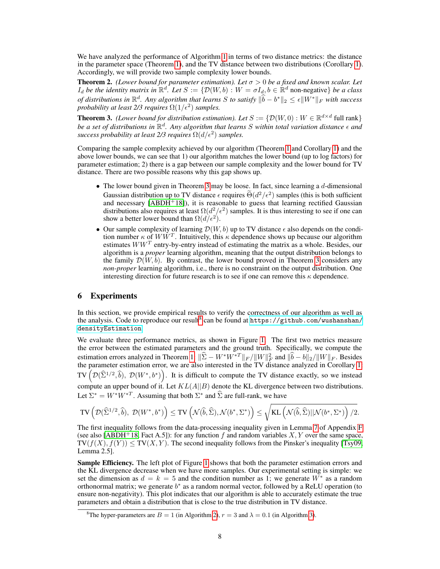We have analyzed the performance of Algorithm 1 in terms of two distance metrics: the distance in the parameter space (Theorem 1), and the TV distance between two distributions (Corollary 1). Accordingly, we will provide two sample complexity lower bounds.

**Theorem 2.** *(Lower bound for parameter estimation). Let*  $\sigma > 0$  *be a fixed and known scalar. Let*  $I_d$  *be the identity matrix in*  $\mathbb{R}^d$ . Let  $S := \{ \mathcal{D}(W, b) : W = \sigma I_d, b \in \mathbb{R}^d \text{ non-negative} \}$  *be a class of distributions in*  $\mathbb{R}^d$ . Any algorithm that learns S to satisfy  $\|\hat{b} - b^*\|_2 \le \epsilon \|W^*\|_F$  with success *probability at least 2/3 requires*  $\Omega(1/\epsilon^2)$  *samples.* 

**Theorem 3.** *(Lower bound for distribution estimation). Let*  $S := \{ \mathcal{D}(W, 0) : W \in \mathbb{R}^{d \times d} \}$  full rank be a set of distributions in  $\mathbb{R}^d$ . Any algorithm that learns S within total variation distance  $\epsilon$  and *success probability at least 2/3 requires*  $\Omega(d/\epsilon^2)$  *samples.* 

Comparing the sample complexity achieved by our algorithm (Theorem 1 and Corollary 1) and the above lower bounds, we can see that 1) our algorithm matches the lower bound (up to log factors) for parameter estimation; 2) there is a gap between our sample complexity and the lower bound for TV distance. There are two possible reasons why this gap shows up.

- The lower bound given in Theorem 3 may be loose. In fact, since learning a  $d$ -dimensional Gaussian distribution up to TV distance  $\epsilon$  requires  $\Theta(d^2/\epsilon^2)$  samples (this is both sufficient and necessary  $[ABDH<sup>+</sup>18]$ ), it is reasonable to guess that learning rectified Gaussian distributions also requires at least  $\Omega(d^2/\epsilon^2)$  samples. It is thus interesting to see if one can show a better lower bound than  $\Omega(d/\epsilon^2)$ .
- Our sample complexity of learning  $\mathcal{D}(W, b)$  up to TV distance  $\epsilon$  also depends on the condition number  $\kappa$  of  $WW^T$ . Intuitively, this  $\kappa$  dependence shows up because our algorithm estimates  $WW<sup>T</sup>$  entry-by-entry instead of estimating the matrix as a whole. Besides, our algorithm is a *proper* learning algorithm, meaning that the output distribution belongs to the family  $\mathcal{D}(W, b)$ . By contrast, the lower bound proved in Theorem 3 considers any *non-proper* learning algorithm, i.e., there is no constraint on the output distribution. One interesting direction for future research is to see if one can remove this  $\kappa$  dependence.

# 6 Experiments

In this section, we provide empirical results to verify the correctness of our algorithm as well as the analysis. Code to reproduce our result  $^8$  can be found at [https://github.com/wushanshan/](https://github.com/wushanshan/densityEstimation) [densityEstimation](https://github.com/wushanshan/densityEstimation).

We evaluate three performance metrics, as shown in Figure 1. The first two metrics measure the error between the estimated parameters and the ground truth. Specifically, we compute the estimation errors analyzed in Theorem 1:  $\|\hat{\Sigma} - W^*W^{*T}\|_F / \|W\|_F^2$  and  $\|\hat{b} - b\|_2 / \|W\|_F$ . Besides the parameter estimation error, we are also interested in the TV distance analyzed in Corollary 1: TV  $(\mathcal{D}(\widehat{\Sigma}^{1/2}, \widehat{b}), \mathcal{D}(W^*, b^*))$ . It is difficult to compute the TV distance exactly, so we instead compute an upper bound of it. Let  $KL(A||B)$  denote the KL divergence between two distributions. Let  $\Sigma^* = W^*W^{*T}$ . Assuming that both  $\Sigma^*$  and  $\widehat{\Sigma}$  are full-rank, we have

$$
\mathrm{TV}\left(\mathcal D(\widehat \Sigma^{1/2}, \widehat b),\ \mathcal D(W^*, b^*)\right)\leq \mathrm{TV}\left(\mathcal N(\widehat b, \widehat \Sigma), \mathcal N(b^*, \Sigma^*)\right)\leq \sqrt{\mathrm{KL}\left(\mathcal N(\widehat b, \widehat \Sigma)||\mathcal N(b^*, \Sigma^*)\right)/2}.
$$

The first inequality follows from the data-processing inequality given in Lemma 7 of Appendix F (see also [ABDH<sup>+</sup>18, Fact A.5]): for any function f and random variables  $X, Y$  over the same space,  $TV(f(X), f(Y)) \leq TV(X, Y)$ . The second inequality follows from the Pinsker's inequality [Tsy09, Lemma 2.5].

Sample Efficiency. The left plot of Figure 1 shows that both the parameter estimation errors and the KL divergence decrease when we have more samples. Our experimental setting is simple: we set the dimension as  $d = k = 5$  and the condition number as 1; we generate  $W^*$  as a random orthonormal matrix; we generate  $b^*$  as a random normal vector, followed by a ReLU operation (to ensure non-negativity). This plot indicates that our algorithm is able to accurately estimate the true parameters and obtain a distribution that is close to the true distribution in TV distance.

<sup>&</sup>lt;sup>8</sup>The hyper-parameters are  $B = 1$  (in Algorithm 2),  $r = 3$  and  $\lambda = 0.1$  (in Algorithm 3).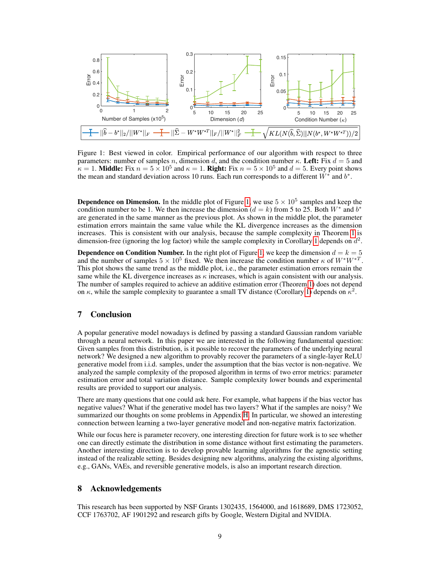

Figure 1: Best viewed in color. Empirical performance of our algorithm with respect to three parameters: number of samples n, dimension d, and the condition number κ. Left: Fix  $d = 5$  and  $\mathbf{k} = 1$ . **Middle:** Fix  $n = 5 \times 10^5$  and  $\kappa = 1$ . **Right:** Fix  $n = 5 \times 10^5$  and  $d = 5$ . Every point shows the mean and standard deviation across 10 runs. Each run corresponds to a different  $\dot{W}^*$  and  $b^*$ .

**Dependence on Dimension.** In the middle plot of Figure 1, we use  $5 \times 10^5$  samples and keep the condition number to be 1. We then increase the dimension ( $d = k$ ) from 5 to 25. Both  $W^*$  and  $b^*$ are generated in the same manner as the previous plot. As shown in the middle plot, the parameter estimation errors maintain the same value while the KL divergence increases as the dimension increases. This is consistent with our analysis, because the sample complexity in Theorem 1 is dimension-free (ignoring the log factor) while the sample complexity in Corollary 1 depends on  $d^2$ .

**Dependence on Condition Number.** In the right plot of Figure 1, we keep the dimension  $d = k = 5$ and the number of samples  $5 \times 10^5$  fixed. We then increase the condition number  $\kappa$  of  $W^*W^{*T}$ . This plot shows the same trend as the middle plot, i.e., the parameter estimation errors remain the same while the KL divergence increases as  $\kappa$  increases, which is again consistent with our analysis. The number of samples required to achieve an additive estimation error (Theorem 1) does not depend on  $\kappa$ , while the sample complexity to guarantee a small TV distance (Corollary 1) depends on  $\kappa^2$ .

# 7 Conclusion

A popular generative model nowadays is defined by passing a standard Gaussian random variable through a neural network. In this paper we are interested in the following fundamental question: Given samples from this distribution, is it possible to recover the parameters of the underlying neural network? We designed a new algorithm to provably recover the parameters of a single-layer ReLU generative model from i.i.d. samples, under the assumption that the bias vector is non-negative. We analyzed the sample complexity of the proposed algorithm in terms of two error metrics: parameter estimation error and total variation distance. Sample complexity lower bounds and experimental results are provided to support our analysis.

There are many questions that one could ask here. For example, what happens if the bias vector has negative values? What if the generative model has two layers? What if the samples are noisy? We summarized our thoughts on some problems in Appendix H. In particular, we showed an interesting connection between learning a two-layer generative model and non-negative matrix factorization.

While our focus here is parameter recovery, one interesting direction for future work is to see whether one can directly estimate the distribution in some distance without first estimating the parameters. Another interesting direction is to develop provable learning algorithms for the agnostic setting instead of the realizable setting. Besides designing new algorithms, analyzing the existing algorithms, e.g., GANs, VAEs, and reversible generative models, is also an important research direction.

## 8 Acknowledgements

This research has been supported by NSF Grants 1302435, 1564000, and 1618689, DMS 1723052, CCF 1763702, AF 1901292 and research gifts by Google, Western Digital and NVIDIA.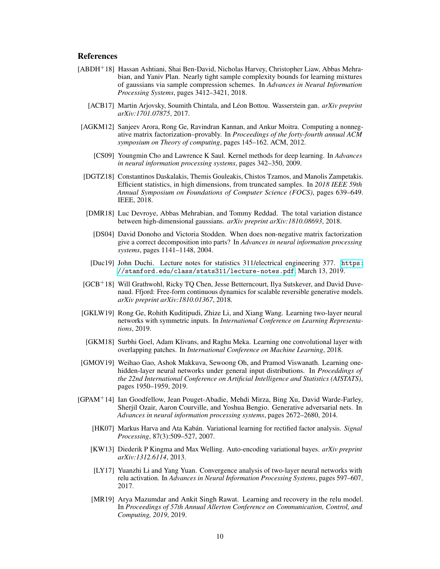# **References**

- [ABDH+18] Hassan Ashtiani, Shai Ben-David, Nicholas Harvey, Christopher Liaw, Abbas Mehrabian, and Yaniv Plan. Nearly tight sample complexity bounds for learning mixtures of gaussians via sample compression schemes. In *Advances in Neural Information Processing Systems*, pages 3412–3421, 2018.
	- [ACB17] Martin Arjovsky, Soumith Chintala, and Léon Bottou. Wasserstein gan. *arXiv preprint arXiv:1701.07875*, 2017.
- [AGKM12] Sanjeev Arora, Rong Ge, Ravindran Kannan, and Ankur Moitra. Computing a nonnegative matrix factorization–provably. In *Proceedings of the forty-fourth annual ACM symposium on Theory of computing*, pages 145–162. ACM, 2012.
	- [CS09] Youngmin Cho and Lawrence K Saul. Kernel methods for deep learning. In *Advances in neural information processing systems*, pages 342–350, 2009.
- [DGTZ18] Constantinos Daskalakis, Themis Gouleakis, Chistos Tzamos, and Manolis Zampetakis. Efficient statistics, in high dimensions, from truncated samples. In *2018 IEEE 59th Annual Symposium on Foundations of Computer Science (FOCS)*, pages 639–649. IEEE, 2018.
- [DMR18] Luc Devroye, Abbas Mehrabian, and Tommy Reddad. The total variation distance between high-dimensional gaussians. *arXiv preprint arXiv:1810.08693*, 2018.
	- [DS04] David Donoho and Victoria Stodden. When does non-negative matrix factorization give a correct decomposition into parts? In *Advances in neural information processing systems*, pages 1141–1148, 2004.
- [Duc19] John Duchi. Lecture notes for statistics 311/electrical engineering 377. [https:](https://stanford.edu/class/stats311/lecture-notes.pdf) [//stanford.edu/class/stats311/lecture-notes.pdf](https://stanford.edu/class/stats311/lecture-notes.pdf), March 13, 2019.
- [GCB<sup>+</sup>18] Will Grathwohl, Ricky TQ Chen, Jesse Betterncourt, Ilya Sutskever, and David Duvenaud. Ffjord: Free-form continuous dynamics for scalable reversible generative models. *arXiv preprint arXiv:1810.01367*, 2018.
- [GKLW19] Rong Ge, Rohith Kuditipudi, Zhize Li, and Xiang Wang. Learning two-layer neural networks with symmetric inputs. In *International Conference on Learning Representations*, 2019.
- [GKM18] Surbhi Goel, Adam Klivans, and Raghu Meka. Learning one convolutional layer with overlapping patches. In *International Conference on Machine Learning*, 2018.
- [GMOV19] Weihao Gao, Ashok Makkuva, Sewoong Oh, and Pramod Viswanath. Learning onehidden-layer neural networks under general input distributions. In *Proceddings of the 22nd International Conference on Artificial Intelligence and Statistics (AISTATS)*, pages 1950–1959, 2019.
- [GPAM<sup>+</sup>14] Ian Goodfellow, Jean Pouget-Abadie, Mehdi Mirza, Bing Xu, David Warde-Farley, Sherjil Ozair, Aaron Courville, and Yoshua Bengio. Generative adversarial nets. In *Advances in neural information processing systems*, pages 2672–2680, 2014.
	- [HK07] Markus Harva and Ata Kabán. Variational learning for rectified factor analysis. *Signal Processing*, 87(3):509–527, 2007.
	- [KW13] Diederik P Kingma and Max Welling. Auto-encoding variational bayes. *arXiv preprint arXiv:1312.6114*, 2013.
	- [LY17] Yuanzhi Li and Yang Yuan. Convergence analysis of two-layer neural networks with relu activation. In *Advances in Neural Information Processing Systems*, pages 597–607, 2017.
	- [MR19] Arya Mazumdar and Ankit Singh Rawat. Learning and recovery in the relu model. In *Proceedings of 57th Annual Allerton Conference on Communication, Control, and Computing, 2019*, 2019.